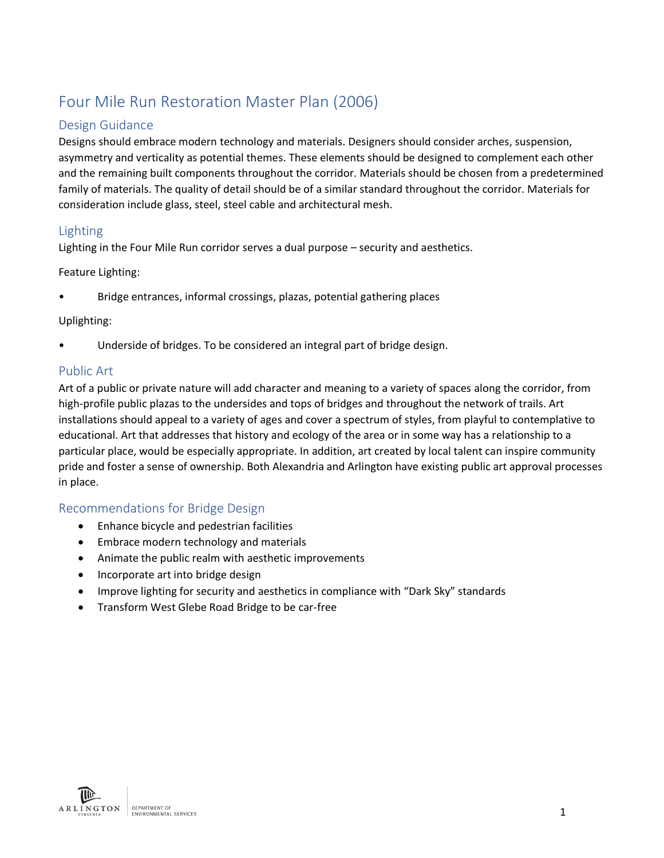# Four Mile Run Restoration Master Plan (2006)

### Design Guidance

Designs should embrace modern technology and materials. Designers should consider arches, suspension, asymmetry and verticality as potential themes. These elements should be designed to complement each other and the remaining built components throughout the corridor. Materials should be chosen from a predetermined family of materials. The quality of detail should be of a similar standard throughout the corridor. Materials for consideration include glass, steel, steel cable and architectural mesh.

#### Lighting

Lighting in the Four Mile Run corridor serves a dual purpose – security and aesthetics.

Feature Lighting:

• Bridge entrances, informal crossings, plazas, potential gathering places

#### Uplighting:

Underside of bridges. To be considered an integral part of bridge design.

#### Public Art

Art of a public or private nature will add character and meaning to a variety of spaces along the corridor, from high-profile public plazas to the undersides and tops of bridges and throughout the network of trails. Art installations should appeal to a variety of ages and cover a spectrum of styles, from playful to contemplative to educational. Art that addresses that history and ecology of the area or in some way has a relationship to a particular place, would be especially appropriate. In addition, art created by local talent can inspire community pride and foster a sense of ownership. Both Alexandria and Arlington have existing public art approval processes in place.

## Recommendations for Bridge Design

- Enhance bicycle and pedestrian facilities
- Embrace modern technology and materials
- Animate the public realm with aesthetic improvements
- Incorporate art into bridge design
- Improve lighting for security and aesthetics in compliance with "Dark Sky" standards
- Transform West Glebe Road Bridge to be car-free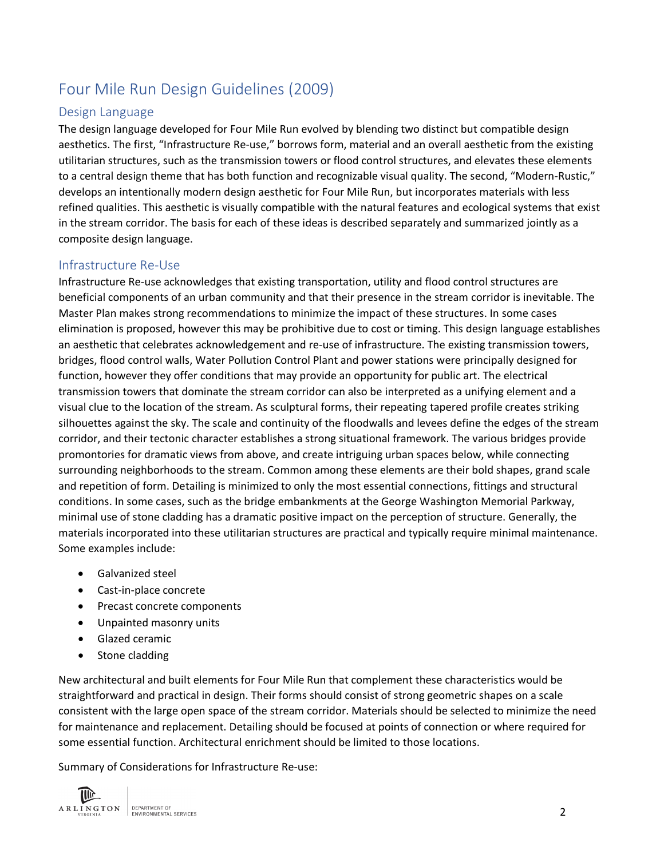## Four Mile Run Design Guidelines (2009)

#### Design Language

The design language developed for Four Mile Run evolved by blending two distinct but compatible design aesthetics. The first, "Infrastructure Re-use," borrows form, material and an overall aesthetic from the existing utilitarian structures, such as the transmission towers or flood control structures, and elevates these elements to a central design theme that has both function and recognizable visual quality. The second, "Modern-Rustic," develops an intentionally modern design aesthetic for Four Mile Run, but incorporates materials with less refined qualities. This aesthetic is visually compatible with the natural features and ecological systems that exist in the stream corridor. The basis for each of these ideas is described separately and summarized jointly as a composite design language.

#### Infrastructure Re-Use

Infrastructure Re-use acknowledges that existing transportation, utility and flood control structures are beneficial components of an urban community and that their presence in the stream corridor is inevitable. The Master Plan makes strong recommendations to minimize the impact of these structures. In some cases elimination is proposed, however this may be prohibitive due to cost or timing. This design language establishes an aesthetic that celebrates acknowledgement and re-use of infrastructure. The existing transmission towers, bridges, flood control walls, Water Pollution Control Plant and power stations were principally designed for function, however they offer conditions that may provide an opportunity for public art. The electrical transmission towers that dominate the stream corridor can also be interpreted as a unifying element and a visual clue to the location of the stream. As sculptural forms, their repeating tapered profile creates striking silhouettes against the sky. The scale and continuity of the floodwalls and levees define the edges of the stream corridor, and their tectonic character establishes a strong situational framework. The various bridges provide promontories for dramatic views from above, and create intriguing urban spaces below, while connecting surrounding neighborhoods to the stream. Common among these elements are their bold shapes, grand scale and repetition of form. Detailing is minimized to only the most essential connections, fittings and structural conditions. In some cases, such as the bridge embankments at the George Washington Memorial Parkway, minimal use of stone cladding has a dramatic positive impact on the perception of structure. Generally, the materials incorporated into these utilitarian structures are practical and typically require minimal maintenance. Some examples include:

- Galvanized steel
- Cast-in-place concrete
- Precast concrete components
- Unpainted masonry units
- Glazed ceramic
- Stone cladding

New architectural and built elements for Four Mile Run that complement these characteristics would be straightforward and practical in design. Their forms should consist of strong geometric shapes on a scale consistent with the large open space of the stream corridor. Materials should be selected to minimize the need for maintenance and replacement. Detailing should be focused at points of connection or where required for some essential function. Architectural enrichment should be limited to those locations.

Summary of Considerations for Infrastructure Re-use:

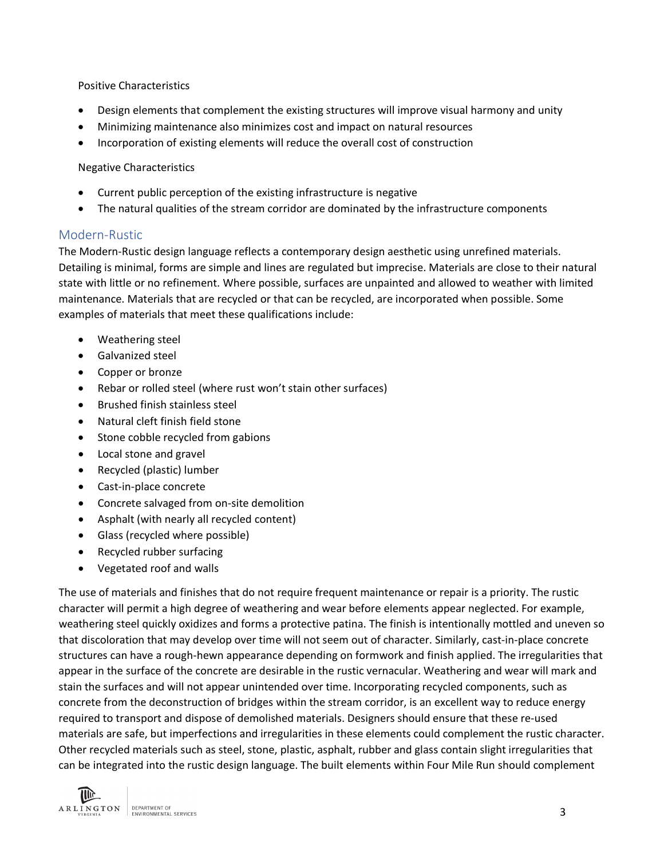Positive Characteristics

- Design elements that complement the existing structures will improve visual harmony and unity
- Minimizing maintenance also minimizes cost and impact on natural resources
- Incorporation of existing elements will reduce the overall cost of construction

Negative Characteristics

- Current public perception of the existing infrastructure is negative
- The natural qualities of the stream corridor are dominated by the infrastructure components

#### Modern-Rustic

The Modern-Rustic design language reflects a contemporary design aesthetic using unrefined materials. Detailing is minimal, forms are simple and lines are regulated but imprecise. Materials are close to their natural state with little or no refinement. Where possible, surfaces are unpainted and allowed to weather with limited maintenance. Materials that are recycled or that can be recycled, are incorporated when possible. Some examples of materials that meet these qualifications include:

- Weathering steel
- Galvanized steel
- Copper or bronze
- Rebar or rolled steel (where rust won't stain other surfaces)
- Brushed finish stainless steel
- Natural cleft finish field stone
- Stone cobble recycled from gabions
- Local stone and gravel
- Recycled (plastic) lumber
- Cast-in-place concrete
- Concrete salvaged from on-site demolition
- Asphalt (with nearly all recycled content)
- Glass (recycled where possible)
- Recycled rubber surfacing
- Vegetated roof and walls

The use of materials and finishes that do not require frequent maintenance or repair is a priority. The rustic character will permit a high degree of weathering and wear before elements appear neglected. For example, weathering steel quickly oxidizes and forms a protective patina. The finish is intentionally mottled and uneven so that discoloration that may develop over time will not seem out of character. Similarly, cast-in-place concrete structures can have a rough-hewn appearance depending on formwork and finish applied. The irregularities that appear in the surface of the concrete are desirable in the rustic vernacular. Weathering and wear will mark and stain the surfaces and will not appear unintended over time. Incorporating recycled components, such as concrete from the deconstruction of bridges within the stream corridor, is an excellent way to reduce energy required to transport and dispose of demolished materials. Designers should ensure that these re-used materials are safe, but imperfections and irregularities in these elements could complement the rustic character. Other recycled materials such as steel, stone, plastic, asphalt, rubber and glass contain slight irregularities that can be integrated into the rustic design language. The built elements within Four Mile Run should complement

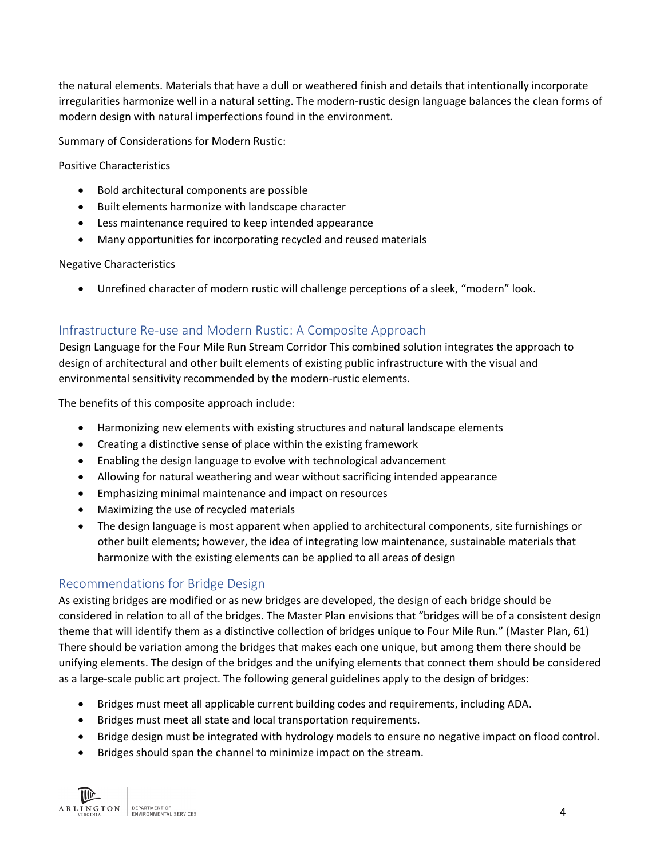the natural elements. Materials that have a dull or weathered finish and details that intentionally incorporate irregularities harmonize well in a natural setting. The modern-rustic design language balances the clean forms of modern design with natural imperfections found in the environment.

Summary of Considerations for Modern Rustic:

Positive Characteristics

- Bold architectural components are possible
- Built elements harmonize with landscape character
- Less maintenance required to keep intended appearance
- Many opportunities for incorporating recycled and reused materials

#### Negative Characteristics

• Unrefined character of modern rustic will challenge perceptions of a sleek, "modern" look.

#### Infrastructure Re-use and Modern Rustic: A Composite Approach

Design Language for the Four Mile Run Stream Corridor This combined solution integrates the approach to design of architectural and other built elements of existing public infrastructure with the visual and environmental sensitivity recommended by the modern-rustic elements.

The benefits of this composite approach include:

- Harmonizing new elements with existing structures and natural landscape elements
- Creating a distinctive sense of place within the existing framework
- Enabling the design language to evolve with technological advancement
- Allowing for natural weathering and wear without sacrificing intended appearance
- Emphasizing minimal maintenance and impact on resources
- Maximizing the use of recycled materials
- The design language is most apparent when applied to architectural components, site furnishings or other built elements; however, the idea of integrating low maintenance, sustainable materials that harmonize with the existing elements can be applied to all areas of design

## Recommendations for Bridge Design

As existing bridges are modified or as new bridges are developed, the design of each bridge should be considered in relation to all of the bridges. The Master Plan envisions that "bridges will be of a consistent design theme that will identify them as a distinctive collection of bridges unique to Four Mile Run." (Master Plan, 61) There should be variation among the bridges that makes each one unique, but among them there should be unifying elements. The design of the bridges and the unifying elements that connect them should be considered as a large-scale public art project. The following general guidelines apply to the design of bridges:

- Bridges must meet all applicable current building codes and requirements, including ADA.
- Bridges must meet all state and local transportation requirements.
- Bridge design must be integrated with hydrology models to ensure no negative impact on flood control.
- Bridges should span the channel to minimize impact on the stream.